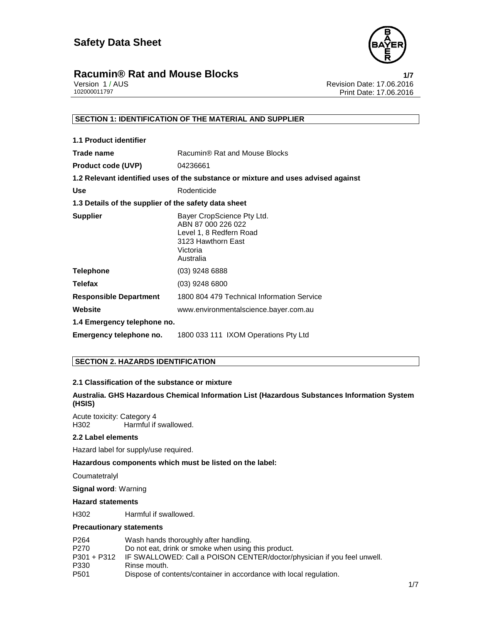

Version 1 / AUS Revision Date: 17.06.2016 Print Date: 17.06.2016

# **SECTION 1: IDENTIFICATION OF THE MATERIAL AND SUPPLIER**

| 1.1 Product identifier                               |                                                                                                                            |
|------------------------------------------------------|----------------------------------------------------------------------------------------------------------------------------|
| Trade name                                           | Racumin® Rat and Mouse Blocks                                                                                              |
| <b>Product code (UVP)</b>                            | 04236661                                                                                                                   |
|                                                      | 1.2 Relevant identified uses of the substance or mixture and uses advised against                                          |
| <b>Use</b>                                           | Rodenticide                                                                                                                |
| 1.3 Details of the supplier of the safety data sheet |                                                                                                                            |
| <b>Supplier</b>                                      | Bayer CropScience Pty Ltd.<br>ABN 87 000 226 022<br>Level 1, 8 Redfern Road<br>3123 Hawthorn East<br>Victoria<br>Australia |
| <b>Telephone</b>                                     | $(03)$ 9248 6888                                                                                                           |
| <b>Telefax</b>                                       | $(03)$ 9248 6800                                                                                                           |
| <b>Responsible Department</b>                        | 1800 804 479 Technical Information Service                                                                                 |
| Website                                              | www.environmentalscience.bayer.com.au                                                                                      |
| 1.4 Emergency telephone no.                          |                                                                                                                            |
| Emergency telephone no.                              | 1800 033 111 IXOM Operations Pty Ltd                                                                                       |

# **SECTION 2. HAZARDS IDENTIFICATION**

# **2.1 Classification of the substance or mixture**

# **Australia. GHS Hazardous Chemical Information List (Hazardous Substances Information System (HSIS)**

Acute toxicity: Category 4 Harmful if swallowed.

### **2.2 Label elements**

Hazard label for supply/use required.

**Hazardous components which must be listed on the label:**

Coumatetralyl

**Signal word:** Warning

# **Hazard statements**

H302 Harmful if swallowed.

# **Precautionary statements**

| P <sub>264</sub> | Wash hands thoroughly after handling.                                   |
|------------------|-------------------------------------------------------------------------|
| P270             | Do not eat, drink or smoke when using this product.                     |
| $P301 + P312$    | IF SWALLOWED: Call a POISON CENTER/doctor/physician if you feel unwell. |
| P330             | Rinse mouth.                                                            |
| P <sub>501</sub> | Dispose of contents/container in accordance with local regulation.      |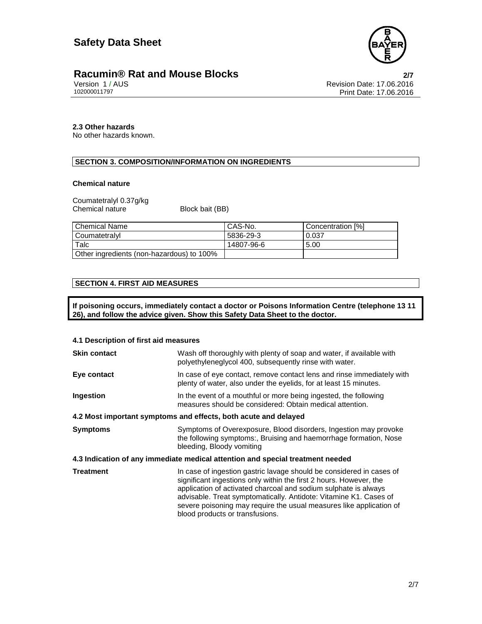

Version 1 / AUS Revision Date: 17.06.2016 Print Date: 17.06.2016

# **2.3 Other hazards**

No other hazards known.

# **SECTION 3. COMPOSITION/INFORMATION ON INGREDIENTS**

#### **Chemical nature**

Coumatetralyl 0.37g/kg Chemical nature Block bait (BB)

| I Chemical Name                           | CAS-No.    | Concentration [%] |
|-------------------------------------------|------------|-------------------|
| l Coumatetralvl                           | 5836-29-3  | 0.037             |
| Talc                                      | 14807-96-6 | 5.00              |
| Other ingredients (non-hazardous) to 100% |            |                   |

# **SECTION 4. FIRST AID MEASURES**

**If poisoning occurs, immediately contact a doctor or Poisons Information Centre (telephone 13 11 26), and follow the advice given. Show this Safety Data Sheet to the doctor.** 

| 4.1 Description of first aid measures                                          |                                                                                                                                                                                                                                                                                                                                                                                              |  |
|--------------------------------------------------------------------------------|----------------------------------------------------------------------------------------------------------------------------------------------------------------------------------------------------------------------------------------------------------------------------------------------------------------------------------------------------------------------------------------------|--|
| <b>Skin contact</b>                                                            | Wash off thoroughly with plenty of soap and water, if available with<br>polyethyleneglycol 400, subsequently rinse with water.                                                                                                                                                                                                                                                               |  |
| Eye contact                                                                    | In case of eye contact, remove contact lens and rinse immediately with<br>plenty of water, also under the eyelids, for at least 15 minutes.                                                                                                                                                                                                                                                  |  |
| Ingestion                                                                      | In the event of a mouthful or more being ingested, the following<br>measures should be considered: Obtain medical attention.                                                                                                                                                                                                                                                                 |  |
| 4.2 Most important symptoms and effects, both acute and delayed                |                                                                                                                                                                                                                                                                                                                                                                                              |  |
| <b>Symptoms</b>                                                                | Symptoms of Overexposure, Blood disorders, Ingestion may provoke<br>the following symptoms:, Bruising and haemorrhage formation, Nose<br>bleeding, Bloody vomiting                                                                                                                                                                                                                           |  |
| 4.3 Indication of any immediate medical attention and special treatment needed |                                                                                                                                                                                                                                                                                                                                                                                              |  |
| <b>Treatment</b>                                                               | In case of ingestion gastric lavage should be considered in cases of<br>significant ingestions only within the first 2 hours. However, the<br>application of activated charcoal and sodium sulphate is always<br>advisable. Treat symptomatically. Antidote: Vitamine K1. Cases of<br>severe poisoning may require the usual measures like application of<br>blood products or transfusions. |  |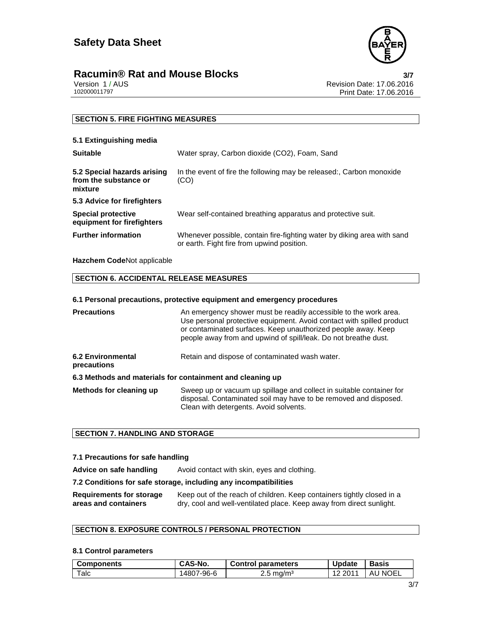

Version 1 / AUS Revision Date: 17.06.2016 Print Date: 17.06.2016

# **SECTION 5. FIRE FIGHTING MEASURES**

# **5.1 Extinguishing media**

| <b>Suitable</b>                                                 | Water spray, Carbon dioxide (CO2), Foam, Sand                                                                         |
|-----------------------------------------------------------------|-----------------------------------------------------------------------------------------------------------------------|
| 5.2 Special hazards arising<br>from the substance or<br>mixture | In the event of fire the following may be released:, Carbon monoxide<br>(CO)                                          |
| 5.3 Advice for firefighters                                     |                                                                                                                       |
| Special protective<br>equipment for firefighters                | Wear self-contained breathing apparatus and protective suit.                                                          |
| <b>Further information</b>                                      | Whenever possible, contain fire-fighting water by diking area with sand<br>or earth. Fight fire from upwind position. |

# **Hazchem Code**Not applicable

# **SECTION 6. ACCIDENTAL RELEASE MEASURES**

### **6.1 Personal precautions, protective equipment and emergency procedures**

| <b>Precautions</b>                                        | An emergency shower must be readily accessible to the work area.<br>Use personal protective equipment. Avoid contact with spilled product<br>or contaminated surfaces. Keep unauthorized people away. Keep<br>people away from and upwind of spill/leak. Do not breathe dust. |
|-----------------------------------------------------------|-------------------------------------------------------------------------------------------------------------------------------------------------------------------------------------------------------------------------------------------------------------------------------|
| <b>6.2 Environmental</b><br>precautions                   | Retain and dispose of contaminated wash water.                                                                                                                                                                                                                                |
| 6.3 Methods and materials for containment and cleaning up |                                                                                                                                                                                                                                                                               |
| Methods for cleaning up                                   | Sweep up or vacuum up spillage and collect in suitable container for<br>disposal. Contaminated soil may have to be removed and disposed.<br>Clean with detergents. Avoid solvents.                                                                                            |

# **SECTION 7. HANDLING AND STORAGE**

### **7.1 Precautions for safe handling**

Advice on safe handling Avoid contact with skin, eyes and clothing.

## **7.2 Conditions for safe storage, including any incompatibilities**

**Requirements for storage areas and containers** Keep out of the reach of children. Keep containers tightly closed in a dry, cool and well-ventilated place. Keep away from direct sunlight.

# **SECTION 8. EXPOSURE CONTROLS / PERSONAL PROTECTION**

## **8.1 Control parameters**

| <b>Components</b> | <b>CAS-No.</b> | <b>Control parameters</b> | <b>Update</b> | <b>Basis</b> |
|-------------------|----------------|---------------------------|---------------|--------------|
| $\tau$ alc        | 14807-96-6     | $2.5 \,\mathrm{mg/m^3}$   | 2011<br>12    | ' NOEL<br>AL |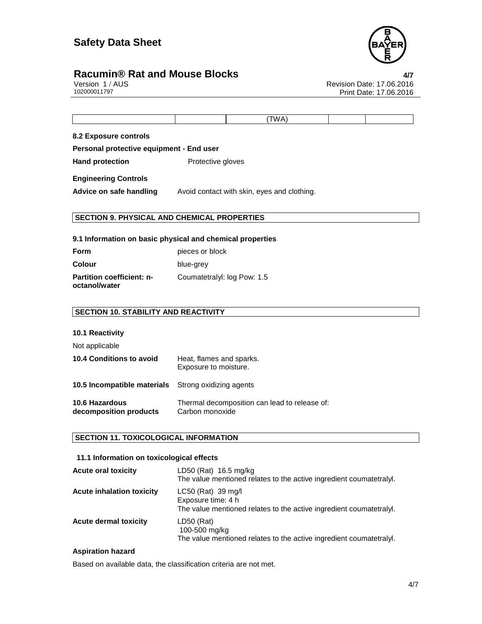

# **Racumin® Rat and Mouse Blocks 4/7**

Version 1 / AUS Revision Date: 17.06.2016 Print Date: 17.06.2016

|  | AN. |  |
|--|-----|--|
|  |     |  |

**8.2 Exposure controls**

**Personal protective equipment - End user**

Hand protection **Protective gloves** 

**Engineering Controls** 

Advice on safe handling Avoid contact with skin, eyes and clothing.

# **SECTION 9. PHYSICAL AND CHEMICAL PROPERTIES**

## **9.1 Information on basic physical and chemical properties**

| <b>Form</b>                                       | pieces or block             |
|---------------------------------------------------|-----------------------------|
| Colour                                            | blue-grey                   |
| <b>Partition coefficient: n-</b><br>octanol/water | Coumatetralyl: log Pow: 1.5 |

# **SECTION 10. STABILITY AND REACTIVITY**

# **10.1 Reactivity**

Not applicable

| <b>10.4 Conditions to avoid</b>                            | Heat, flames and sparks.<br>Exposure to moisture.                |
|------------------------------------------------------------|------------------------------------------------------------------|
| <b>10.5 Incompatible materials</b> Strong oxidizing agents |                                                                  |
| <b>10.6 Hazardous</b><br>decomposition products            | Thermal decomposition can lead to release of:<br>Carbon monoxide |

# **SECTION 11. TOXICOLOGICAL INFORMATION**

# **11.1 Information on toxicological effects**

| <b>Acute oral toxicity</b>       | LD50 (Rat) 16.5 mg/kg<br>The value mentioned relates to the active ingredient coumatetralyl.                    |
|----------------------------------|-----------------------------------------------------------------------------------------------------------------|
| <b>Acute inhalation toxicity</b> | LC50 (Rat) 39 mg/l<br>Exposure time: 4 h<br>The value mentioned relates to the active ingredient coumatetralyl. |
| <b>Acute dermal toxicity</b>     | $LD50$ (Rat)<br>100-500 mg/kg<br>The value mentioned relates to the active ingredient coumatetralyl.            |

# **Aspiration hazard**

Based on available data, the classification criteria are not met.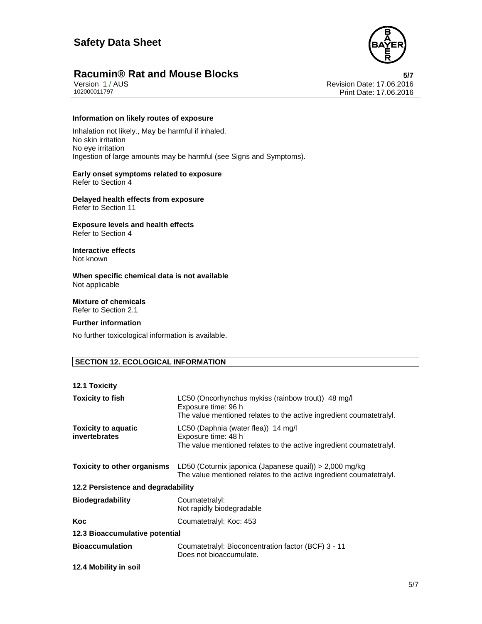

Version 1 / AUS Revision Date: 17.06.2016 Print Date: 17.06.2016

### **Information on likely routes of exposure**

Inhalation not likely., May be harmful if inhaled. No skin irritation No eye irritation Ingestion of large amounts may be harmful (see Signs and Symptoms).

#### **Early onset symptoms related to exposure**  Refer to Section 4

**Delayed health effects from exposure**  Refer to Section 11

**Exposure levels and health effects**  Refer to Section 4

**Interactive effects**  Not known

**When specific chemical data is not available**  Not applicable

**Mixture of chemicals**  Refer to Section 2.1

#### **Further information**

No further toxicological information is available.

# **SECTION 12. ECOLOGICAL INFORMATION**

#### **12.1 Toxicity**

| <b>Toxicity to fish</b>                     | LC50 (Oncorhynchus mykiss (rainbow trout)) 48 mg/l<br>Exposure time: 96 h<br>The value mentioned relates to the active ingredient coumatetraly. |
|---------------------------------------------|-------------------------------------------------------------------------------------------------------------------------------------------------|
| <b>Toxicity to aquatic</b><br>invertebrates | LC50 (Daphnia (water flea)) 14 mg/l<br>Exposure time: 48 h<br>The value mentioned relates to the active ingredient coumatetraly.                |
| <b>Toxicity to other organisms</b>          | LD50 (Coturnix japonica (Japanese quail)) > 2,000 mg/kg<br>The value mentioned relates to the active ingredient coumatetraly.                   |
| 12.2 Persistence and degradability          |                                                                                                                                                 |
| <b>Biodegradability</b>                     | Coumatetralyl:<br>Not rapidly biodegradable                                                                                                     |
| Koc                                         | Coumatetralyl: Koc: 453                                                                                                                         |
| 12.3 Bioaccumulative potential              |                                                                                                                                                 |
| <b>Bioaccumulation</b>                      | Coumatetralyl: Bioconcentration factor (BCF) 3 - 11<br>Does not bioaccumulate.                                                                  |
| 12.4 Mobility in soil                       |                                                                                                                                                 |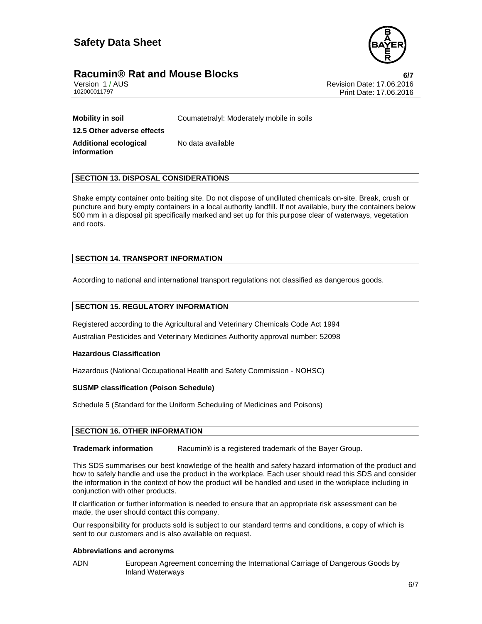

# **Racumin® Rat and Mouse Blocks 6/7**

Version 1 / AUS Revision Date: 17.06.2016 Print Date: 17.06.2016

**Mobility in soil Coumatetralyl: Moderately mobile in soils 12.5 Other adverse effects Additional ecological information**  No data available

# **SECTION 13. DISPOSAL CONSIDERATIONS**

Shake empty container onto baiting site. Do not dispose of undiluted chemicals on-site. Break, crush or puncture and bury empty containers in a local authority landfill. If not available, bury the containers below 500 mm in a disposal pit specifically marked and set up for this purpose clear of waterways, vegetation and roots.

# **SECTION 14. TRANSPORT INFORMATION**

According to national and international transport regulations not classified as dangerous goods.

## **SECTION 15. REGULATORY INFORMATION**

Registered according to the Agricultural and Veterinary Chemicals Code Act 1994 Australian Pesticides and Veterinary Medicines Authority approval number: 52098

# **Hazardous Classification**

Hazardous (National Occupational Health and Safety Commission - NOHSC)

# **SUSMP classification (Poison Schedule)**

Schedule 5 (Standard for the Uniform Scheduling of Medicines and Poisons)

# **SECTION 16. OTHER INFORMATION**

**Trademark information** Racumin® is a registered trademark of the Bayer Group.

This SDS summarises our best knowledge of the health and safety hazard information of the product and how to safely handle and use the product in the workplace. Each user should read this SDS and consider the information in the context of how the product will be handled and used in the workplace including in conjunction with other products.

If clarification or further information is needed to ensure that an appropriate risk assessment can be made, the user should contact this company.

Our responsibility for products sold is subject to our standard terms and conditions, a copy of which is sent to our customers and is also available on request.

#### **Abbreviations and acronyms**

ADN European Agreement concerning the International Carriage of Dangerous Goods by Inland Waterways